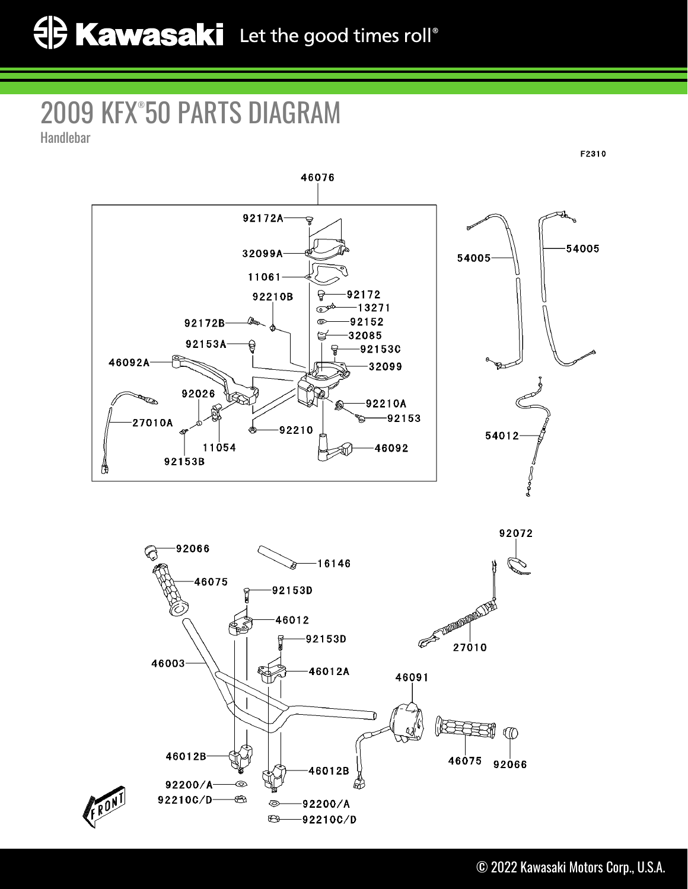## 2009 KFX® 50 PARTS DIAGRAM

Handlebar





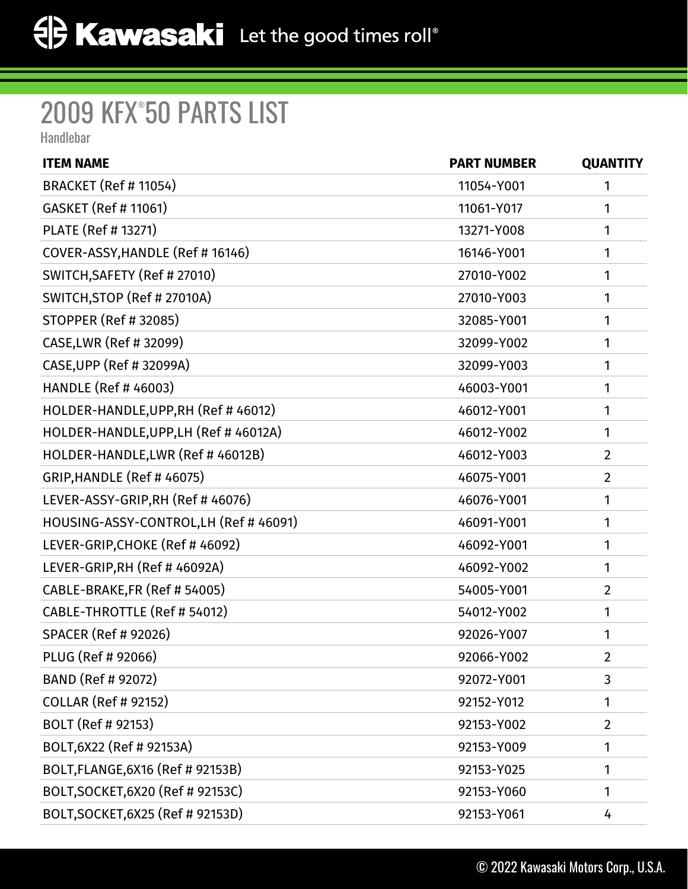## 2009 KFX® 50 PARTS LIST

Handlebar

| <b>ITEM NAME</b>                       | <b>PART NUMBER</b> | <b>QUANTITY</b> |
|----------------------------------------|--------------------|-----------------|
| <b>BRACKET (Ref # 11054)</b>           | 11054-Y001         | 1               |
| GASKET (Ref # 11061)                   | 11061-Y017         | 1               |
| PLATE (Ref # 13271)                    | 13271-Y008         | 1               |
| COVER-ASSY, HANDLE (Ref #16146)        | 16146-Y001         | 1               |
| SWITCH, SAFETY (Ref # 27010)           | 27010-Y002         | 1               |
| SWITCH, STOP (Ref # 27010A)            | 27010-Y003         | 1               |
| STOPPER (Ref # 32085)                  | 32085-Y001         | 1               |
| CASE, LWR (Ref # 32099)                | 32099-Y002         | 1               |
| CASE, UPP (Ref # 32099A)               | 32099-Y003         | 1               |
| <b>HANDLE (Ref # 46003)</b>            | 46003-Y001         | 1               |
| HOLDER-HANDLE, UPP, RH (Ref #46012)    | 46012-Y001         | 1               |
| HOLDER-HANDLE, UPP, LH (Ref # 46012A)  | 46012-Y002         | 1               |
| HOLDER-HANDLE, LWR (Ref # 46012B)      | 46012-Y003         | $\overline{2}$  |
| <b>GRIP, HANDLE (Ref #46075)</b>       | 46075-Y001         | $\overline{2}$  |
| LEVER-ASSY-GRIP,RH (Ref # 46076)       | 46076-Y001         | 1               |
| HOUSING-ASSY-CONTROL, LH (Ref # 46091) | 46091-Y001         | 1               |
| LEVER-GRIP, CHOKE (Ref # 46092)        | 46092-Y001         | 1               |
| LEVER-GRIP, RH (Ref # 46092A)          | 46092-Y002         | 1               |
| CABLE-BRAKE, FR (Ref # 54005)          | 54005-Y001         | $\overline{2}$  |
| CABLE-THROTTLE (Ref # 54012)           | 54012-Y002         | 1               |
| <b>SPACER (Ref # 92026)</b>            | 92026-Y007         | 1               |
| PLUG (Ref # 92066)                     | 92066-Y002         | $\overline{2}$  |
| BAND (Ref # 92072)                     | 92072-Y001         | 3               |
| <b>COLLAR (Ref # 92152)</b>            | 92152-Y012         | 1               |
| BOLT (Ref # 92153)                     | 92153-Y002         | $\overline{2}$  |
| BOLT, 6X22 (Ref # 92153A)              | 92153-Y009         | 1               |
| BOLT, FLANGE, 6X16 (Ref # 92153B)      | 92153-Y025         | 1               |
| BOLT, SOCKET, 6X20 (Ref # 92153C)      | 92153-Y060         | 1               |
| BOLT, SOCKET, 6X25 (Ref # 92153D)      | 92153-Y061         | 4               |